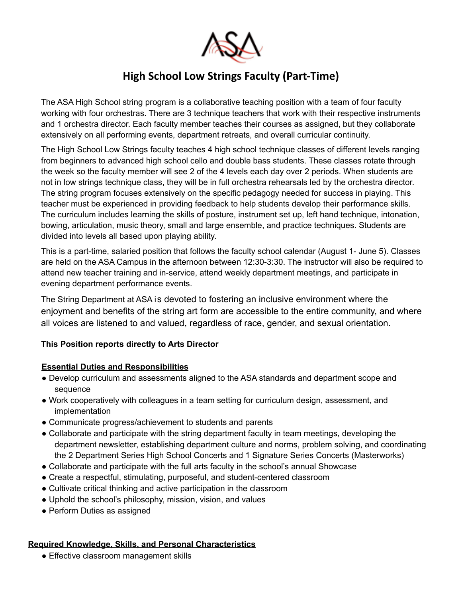

# **High School Low Strings Faculty (Part-Time)**

The ASA High School string program is a collaborative teaching position with a team of four faculty working with four orchestras. There are 3 technique teachers that work with their respective instruments and 1 orchestra director. Each faculty member teaches their courses as assigned, but they collaborate extensively on all performing events, department retreats, and overall curricular continuity.

The High School Low Strings faculty teaches 4 high school technique classes of different levels ranging from beginners to advanced high school cello and double bass students. These classes rotate through the week so the faculty member will see 2 of the 4 levels each day over 2 periods. When students are not in low strings technique class, they will be in full orchestra rehearsals led by the orchestra director. The string program focuses extensively on the specific pedagogy needed for success in playing. This teacher must be experienced in providing feedback to help students develop their performance skills. The curriculum includes learning the skills of posture, instrument set up, left hand technique, intonation, bowing, articulation, music theory, small and large ensemble, and practice techniques. Students are divided into levels all based upon playing ability.

This is a part-time, salaried position that follows the faculty school calendar (August 1- June 5). Classes are held on the ASA Campus in the afternoon between 12:30-3:30. The instructor will also be required to attend new teacher training and in-service, attend weekly department meetings, and participate in evening department performance events.

The String Department at ASA is devoted to fostering an inclusive environment where the enjoyment and benefits of the string art form are accessible to the entire community, and where all voices are listened to and valued, regardless of race, gender, and sexual orientation.

### **This Position reports directly to Arts Director**

### **Essential Duties and Responsibilities**

- Develop curriculum and assessments aligned to the ASA standards and department scope and sequence
- Work cooperatively with colleagues in a team setting for curriculum design, assessment, and implementation
- Communicate progress/achievement to students and parents
- Collaborate and participate with the string department faculty in team meetings, developing the department newsletter, establishing department culture and norms, problem solving, and coordinating the 2 Department Series High School Concerts and 1 Signature Series Concerts (Masterworks)
- Collaborate and participate with the full arts faculty in the school's annual Showcase
- Create a respectful, stimulating, purposeful, and student-centered classroom
- Cultivate critical thinking and active participation in the classroom
- Uphold the school's philosophy, mission, vision, and values
- Perform Duties as assigned

### **Required Knowledge, Skills, and Personal Characteristics**

• Effective classroom management skills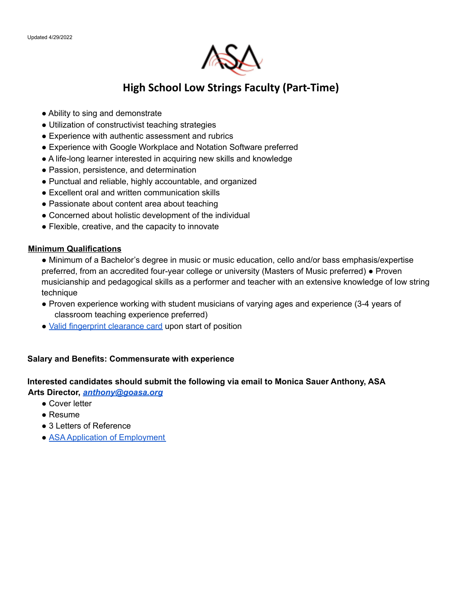

## **High School Low Strings Faculty (Part-Time)**

- Ability to sing and demonstrate
- Utilization of constructivist teaching strategies
- Experience with authentic assessment and rubrics
- Experience with Google Workplace and Notation Software preferred
- A life-long learner interested in acquiring new skills and knowledge
- Passion, persistence, and determination
- Punctual and reliable, highly accountable, and organized
- Excellent oral and written communication skills
- Passionate about content area about teaching
- Concerned about holistic development of the individual
- Flexible, creative, and the capacity to innovate

#### **Minimum Qualifications**

- Minimum of a Bachelor's degree in music or music education, cello and/or bass emphasis/expertise preferred, from an accredited four-year college or university (Masters of Music preferred) ● Proven musicianship and pedagogical skills as a performer and teacher with an extensive knowledge of low string technique
- Proven experience working with student musicians of varying ages and experience (3-4 years of classroom teaching experience preferred)
- Valid fingerprint clearance card upon start of position

### **Salary and Benefits: Commensurate with experience**

### **Interested candidates should submit the following via email to Monica Sauer Anthony, ASA Arts Director,** *anthony@goasa.org*

- Cover letter
- Resume
- 3 Letters of Reference
- ASA Application of Employment